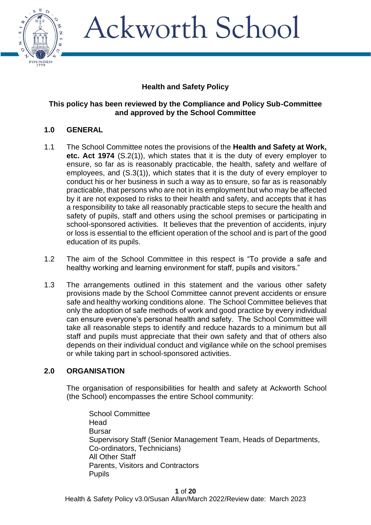

## **Health and Safety Policy**

#### **This policy has been reviewed by the Compliance and Policy Sub-Committee and approved by the School Committee**

### **1.0 GENERAL**

- 1.1 The School Committee notes the provisions of the **Health and Safety at Work, etc. Act 1974** (S.2(1)), which states that it is the duty of every employer to ensure, so far as is reasonably practicable, the health, safety and welfare of employees, and (S.3(1)), which states that it is the duty of every employer to conduct his or her business in such a way as to ensure, so far as is reasonably practicable, that persons who are not in its employment but who may be affected by it are not exposed to risks to their health and safety, and accepts that it has a responsibility to take all reasonably practicable steps to secure the health and safety of pupils, staff and others using the school premises or participating in school-sponsored activities. It believes that the prevention of accidents, injury or loss is essential to the efficient operation of the school and is part of the good education of its pupils.
- 1.2 The aim of the School Committee in this respect is "To provide a safe and healthy working and learning environment for staff, pupils and visitors."
- 1.3 The arrangements outlined in this statement and the various other safety provisions made by the School Committee cannot prevent accidents or ensure safe and healthy working conditions alone. The School Committee believes that only the adoption of safe methods of work and good practice by every individual can ensure everyone's personal health and safety. The School Committee will take all reasonable steps to identify and reduce hazards to a minimum but all staff and pupils must appreciate that their own safety and that of others also depends on their individual conduct and vigilance while on the school premises or while taking part in school-sponsored activities.

#### **2.0 ORGANISATION**

The organisation of responsibilities for health and safety at Ackworth School (the School) encompasses the entire School community:

School Committee Head Bursar Supervisory Staff (Senior Management Team, Heads of Departments, Co-ordinators, Technicians) All Other Staff Parents, Visitors and Contractors **Pupils**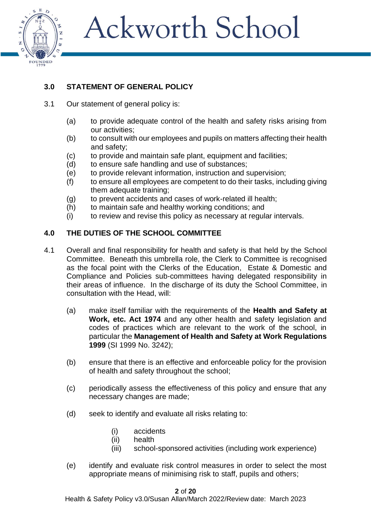

## **3.0 STATEMENT OF GENERAL POLICY**

- 3.1 Our statement of general policy is:
	- (a) to provide adequate control of the health and safety risks arising from our activities;
	- (b) to consult with our employees and pupils on matters affecting their health and safety;
	- (c) to provide and maintain safe plant, equipment and facilities;
	- (d) to ensure safe handling and use of substances;
	- (e) to provide relevant information, instruction and supervision;
	- (f) to ensure all employees are competent to do their tasks, including giving them adequate training;
	- (g) to prevent accidents and cases of work-related ill health;
	- (h) to maintain safe and healthy working conditions; and
	- (i) to review and revise this policy as necessary at regular intervals.

## **4.0 THE DUTIES OF THE SCHOOL COMMITTEE**

- 4.1 Overall and final responsibility for health and safety is that held by the School Committee. Beneath this umbrella role, the Clerk to Committee is recognised as the focal point with the Clerks of the Education, Estate & Domestic and Compliance and Policies sub-committees having delegated responsibility in their areas of influence. In the discharge of its duty the School Committee, in consultation with the Head, will:
	- (a) make itself familiar with the requirements of the **Health and Safety at Work, etc. Act 1974** and any other health and safety legislation and codes of practices which are relevant to the work of the school, in particular the **Management of Health and Safety at Work Regulations 1999** (SI 1999 No. 3242);
	- (b) ensure that there is an effective and enforceable policy for the provision of health and safety throughout the school;
	- (c) periodically assess the effectiveness of this policy and ensure that any necessary changes are made;
	- (d) seek to identify and evaluate all risks relating to:
		- (i) accidents
		- (ii) health
		- (iii) school-sponsored activities (including work experience)
	- (e) identify and evaluate risk control measures in order to select the most appropriate means of minimising risk to staff, pupils and others;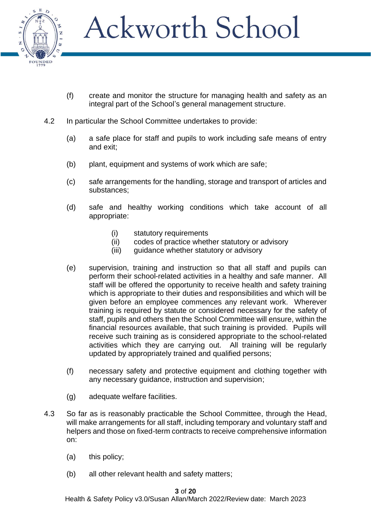

- (f) create and monitor the structure for managing health and safety as an integral part of the School's general management structure.
- 4.2 In particular the School Committee undertakes to provide:
	- (a) a safe place for staff and pupils to work including safe means of entry and exit;
	- (b) plant, equipment and systems of work which are safe;
	- (c) safe arrangements for the handling, storage and transport of articles and substances;
	- (d) safe and healthy working conditions which take account of all appropriate:
		- (i) statutory requirements
		- (ii) codes of practice whether statutory or advisory
		- (iii) guidance whether statutory or advisory
	- (e) supervision, training and instruction so that all staff and pupils can perform their school-related activities in a healthy and safe manner. All staff will be offered the opportunity to receive health and safety training which is appropriate to their duties and responsibilities and which will be given before an employee commences any relevant work. Wherever training is required by statute or considered necessary for the safety of staff, pupils and others then the School Committee will ensure, within the financial resources available, that such training is provided. Pupils will receive such training as is considered appropriate to the school-related activities which they are carrying out. All training will be regularly updated by appropriately trained and qualified persons;
	- (f) necessary safety and protective equipment and clothing together with any necessary guidance, instruction and supervision;
	- (g) adequate welfare facilities.
- 4.3 So far as is reasonably practicable the School Committee, through the Head, will make arrangements for all staff, including temporary and voluntary staff and helpers and those on fixed-term contracts to receive comprehensive information on:
	- (a) this policy;
	- (b) all other relevant health and safety matters;

#### **3** of **20**

Health & Safety Policy v3.0/Susan Allan/March 2022/Review date: March 2023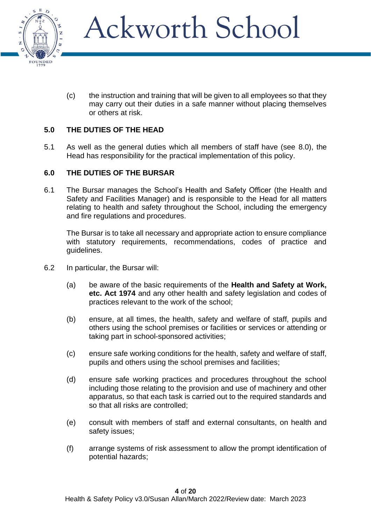

(c) the instruction and training that will be given to all employees so that they may carry out their duties in a safe manner without placing themselves or others at risk.

### **5.0 THE DUTIES OF THE HEAD**

5.1 As well as the general duties which all members of staff have (see 8.0), the Head has responsibility for the practical implementation of this policy.

#### **6.0 THE DUTIES OF THE BURSAR**

6.1 The Bursar manages the School's Health and Safety Officer (the Health and Safety and Facilities Manager) and is responsible to the Head for all matters relating to health and safety throughout the School, including the emergency and fire regulations and procedures.

The Bursar is to take all necessary and appropriate action to ensure compliance with statutory requirements, recommendations, codes of practice and guidelines.

- 6.2 In particular, the Bursar will:
	- (a) be aware of the basic requirements of the **Health and Safety at Work, etc. Act 1974** and any other health and safety legislation and codes of practices relevant to the work of the school;
	- (b) ensure, at all times, the health, safety and welfare of staff, pupils and others using the school premises or facilities or services or attending or taking part in school-sponsored activities;
	- (c) ensure safe working conditions for the health, safety and welfare of staff, pupils and others using the school premises and facilities;
	- (d) ensure safe working practices and procedures throughout the school including those relating to the provision and use of machinery and other apparatus, so that each task is carried out to the required standards and so that all risks are controlled;
	- (e) consult with members of staff and external consultants, on health and safety issues;
	- (f) arrange systems of risk assessment to allow the prompt identification of potential hazards;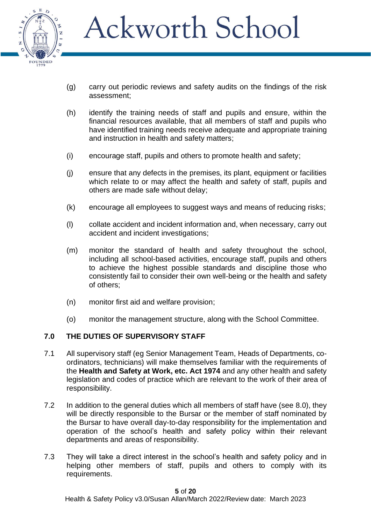

- (g) carry out periodic reviews and safety audits on the findings of the risk assessment;
- (h) identify the training needs of staff and pupils and ensure, within the financial resources available, that all members of staff and pupils who have identified training needs receive adequate and appropriate training and instruction in health and safety matters;
- (i) encourage staff, pupils and others to promote health and safety;
- (j) ensure that any defects in the premises, its plant, equipment or facilities which relate to or may affect the health and safety of staff, pupils and others are made safe without delay;
- (k) encourage all employees to suggest ways and means of reducing risks;
- (l) collate accident and incident information and, when necessary, carry out accident and incident investigations;
- (m) monitor the standard of health and safety throughout the school, including all school-based activities, encourage staff, pupils and others to achieve the highest possible standards and discipline those who consistently fail to consider their own well-being or the health and safety of others;
- (n) monitor first aid and welfare provision;
- (o) monitor the management structure, along with the School Committee.

#### **7.0 THE DUTIES OF SUPERVISORY STAFF**

- 7.1 All supervisory staff (eg Senior Management Team, Heads of Departments, coordinators, technicians) will make themselves familiar with the requirements of the **Health and Safety at Work, etc. Act 1974** and any other health and safety legislation and codes of practice which are relevant to the work of their area of responsibility.
- 7.2 In addition to the general duties which all members of staff have (see 8.0), they will be directly responsible to the Bursar or the member of staff nominated by the Bursar to have overall day-to-day responsibility for the implementation and operation of the school's health and safety policy within their relevant departments and areas of responsibility.
- 7.3 They will take a direct interest in the school's health and safety policy and in helping other members of staff, pupils and others to comply with its requirements.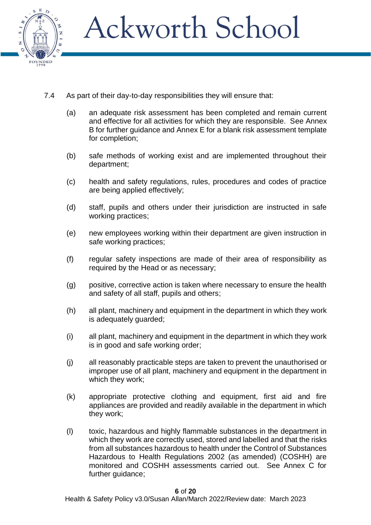

- 7.4 As part of their day-to-day responsibilities they will ensure that:
	- (a) an adequate risk assessment has been completed and remain current and effective for all activities for which they are responsible. See Annex B for further guidance and Annex E for a blank risk assessment template for completion;
	- (b) safe methods of working exist and are implemented throughout their department;
	- (c) health and safety regulations, rules, procedures and codes of practice are being applied effectively;
	- (d) staff, pupils and others under their jurisdiction are instructed in safe working practices;
	- (e) new employees working within their department are given instruction in safe working practices;
	- (f) regular safety inspections are made of their area of responsibility as required by the Head or as necessary;
	- (g) positive, corrective action is taken where necessary to ensure the health and safety of all staff, pupils and others;
	- (h) all plant, machinery and equipment in the department in which they work is adequately guarded;
	- (i) all plant, machinery and equipment in the department in which they work is in good and safe working order;
	- (j) all reasonably practicable steps are taken to prevent the unauthorised or improper use of all plant, machinery and equipment in the department in which they work;
	- (k) appropriate protective clothing and equipment, first aid and fire appliances are provided and readily available in the department in which they work;
	- (l) toxic, hazardous and highly flammable substances in the department in which they work are correctly used, stored and labelled and that the risks from all substances hazardous to health under the Control of Substances Hazardous to Health Regulations 2002 (as amended) (COSHH) are monitored and COSHH assessments carried out. See Annex C for further guidance;

**6** of **20**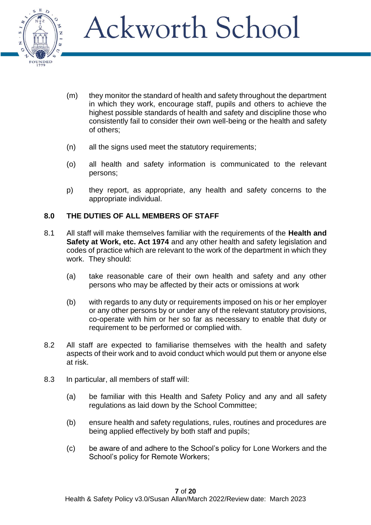

- (m) they monitor the standard of health and safety throughout the department in which they work, encourage staff, pupils and others to achieve the highest possible standards of health and safety and discipline those who consistently fail to consider their own well-being or the health and safety of others;
- (n) all the signs used meet the statutory requirements;
- (o) all health and safety information is communicated to the relevant persons;
- p) they report, as appropriate, any health and safety concerns to the appropriate individual.

### **8.0 THE DUTIES OF ALL MEMBERS OF STAFF**

- 8.1 All staff will make themselves familiar with the requirements of the **Health and Safety at Work, etc. Act 1974** and any other health and safety legislation and codes of practice which are relevant to the work of the department in which they work. They should:
	- (a) take reasonable care of their own health and safety and any other persons who may be affected by their acts or omissions at work
	- (b) with regards to any duty or requirements imposed on his or her employer or any other persons by or under any of the relevant statutory provisions, co-operate with him or her so far as necessary to enable that duty or requirement to be performed or complied with.
- 8.2 All staff are expected to familiarise themselves with the health and safety aspects of their work and to avoid conduct which would put them or anyone else at risk.
- 8.3 In particular, all members of staff will:
	- (a) be familiar with this Health and Safety Policy and any and all safety regulations as laid down by the School Committee;
	- (b) ensure health and safety regulations, rules, routines and procedures are being applied effectively by both staff and pupils;
	- (c) be aware of and adhere to the School's policy for Lone Workers and the School's policy for Remote Workers;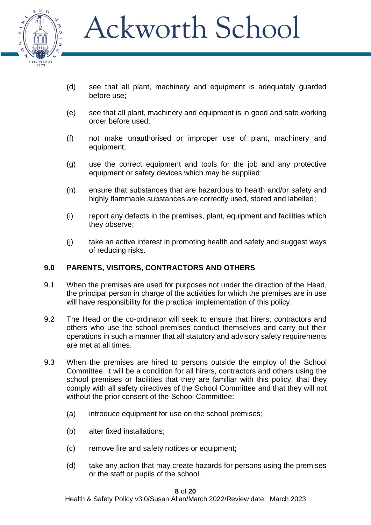

- (d) see that all plant, machinery and equipment is adequately guarded before use;
- (e) see that all plant, machinery and equipment is in good and safe working order before used;
- (f) not make unauthorised or improper use of plant, machinery and equipment;
- (g) use the correct equipment and tools for the job and any protective equipment or safety devices which may be supplied;
- (h) ensure that substances that are hazardous to health and/or safety and highly flammable substances are correctly used, stored and labelled;
- (i) report any defects in the premises, plant, equipment and facilities which they observe;
- (j) take an active interest in promoting health and safety and suggest ways of reducing risks.

#### **9.0 PARENTS, VISITORS, CONTRACTORS AND OTHERS**

- 9.1 When the premises are used for purposes not under the direction of the Head, the principal person in charge of the activities for which the premises are in use will have responsibility for the practical implementation of this policy.
- 9.2 The Head or the co-ordinator will seek to ensure that hirers, contractors and others who use the school premises conduct themselves and carry out their operations in such a manner that all statutory and advisory safety requirements are met at all times.
- 9.3 When the premises are hired to persons outside the employ of the School Committee, it will be a condition for all hirers, contractors and others using the school premises or facilities that they are familiar with this policy, that they comply with all safety directives of the School Committee and that they will not without the prior consent of the School Committee:
	- (a) introduce equipment for use on the school premises;
	- (b) alter fixed installations;
	- (c) remove fire and safety notices or equipment;
	- (d) take any action that may create hazards for persons using the premises or the staff or pupils of the school.

#### **8** of **20**

Health & Safety Policy v3.0/Susan Allan/March 2022/Review date: March 2023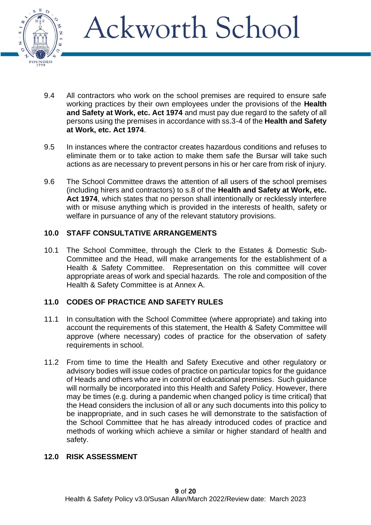

- 9.4 All contractors who work on the school premises are required to ensure safe working practices by their own employees under the provisions of the **Health and Safety at Work, etc. Act 1974** and must pay due regard to the safety of all persons using the premises in accordance with ss.3-4 of the **Health and Safety at Work, etc. Act 1974**.
- 9.5 In instances where the contractor creates hazardous conditions and refuses to eliminate them or to take action to make them safe the Bursar will take such actions as are necessary to prevent persons in his or her care from risk of injury.
- 9.6 The School Committee draws the attention of all users of the school premises (including hirers and contractors) to s.8 of the **Health and Safety at Work, etc. Act 1974**, which states that no person shall intentionally or recklessly interfere with or misuse anything which is provided in the interests of health, safety or welfare in pursuance of any of the relevant statutory provisions.

### **10.0 STAFF CONSULTATIVE ARRANGEMENTS**

10.1 The School Committee, through the Clerk to the Estates & Domestic Sub-Committee and the Head, will make arrangements for the establishment of a Health & Safety Committee. Representation on this committee will cover appropriate areas of work and special hazards. The role and composition of the Health & Safety Committee is at Annex A.

### **11.0 CODES OF PRACTICE AND SAFETY RULES**

- 11.1 In consultation with the School Committee (where appropriate) and taking into account the requirements of this statement, the Health & Safety Committee will approve (where necessary) codes of practice for the observation of safety requirements in school.
- 11.2 From time to time the Health and Safety Executive and other regulatory or advisory bodies will issue codes of practice on particular topics for the guidance of Heads and others who are in control of educational premises. Such guidance will normally be incorporated into this Health and Safety Policy. However, there may be times (e.g. during a pandemic when changed policy is time critical) that the Head considers the inclusion of all or any such documents into this policy to be inappropriate, and in such cases he will demonstrate to the satisfaction of the School Committee that he has already introduced codes of practice and methods of working which achieve a similar or higher standard of health and safety.

#### **12.0 RISK ASSESSMENT**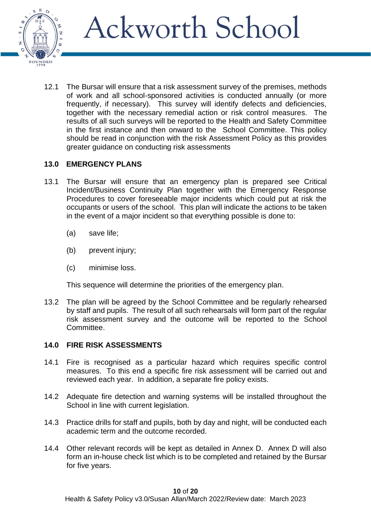

12.1 The Bursar will ensure that a risk assessment survey of the premises, methods of work and all school-sponsored activities is conducted annually (or more frequently, if necessary). This survey will identify defects and deficiencies, together with the necessary remedial action or risk control measures. The results of all such surveys will be reported to the Health and Safety Committee in the first instance and then onward to the School Committee. This policy should be read in conjunction with the risk Assessment Policy as this provides greater guidance on conducting risk assessments

### **13.0 EMERGENCY PLANS**

- 13.1 The Bursar will ensure that an emergency plan is prepared see Critical Incident/Business Continuity Plan together with the Emergency Response Procedures to cover foreseeable major incidents which could put at risk the occupants or users of the school. This plan will indicate the actions to be taken in the event of a major incident so that everything possible is done to:
	- (a) save life;
	- (b) prevent injury;
	- (c) minimise loss.

This sequence will determine the priorities of the emergency plan.

13.2 The plan will be agreed by the School Committee and be regularly rehearsed by staff and pupils. The result of all such rehearsals will form part of the regular risk assessment survey and the outcome will be reported to the School Committee.

#### **14.0 FIRE RISK ASSESSMENTS**

- 14.1 Fire is recognised as a particular hazard which requires specific control measures. To this end a specific fire risk assessment will be carried out and reviewed each year. In addition, a separate fire policy exists.
- 14.2 Adequate fire detection and warning systems will be installed throughout the School in line with current legislation.
- 14.3 Practice drills for staff and pupils, both by day and night, will be conducted each academic term and the outcome recorded.
- 14.4 Other relevant records will be kept as detailed in Annex D. Annex D will also form an in-house check list which is to be completed and retained by the Bursar for five years.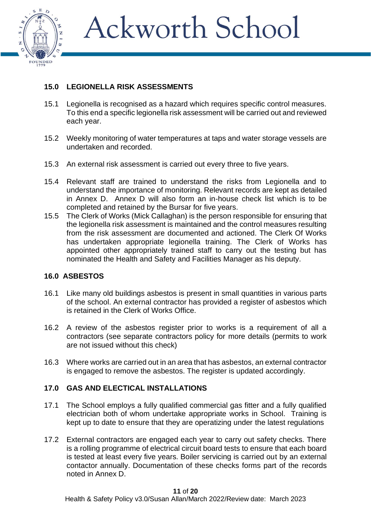

## **15.0 LEGIONELLA RISK ASSESSMENTS**

- 15.1 Legionella is recognised as a hazard which requires specific control measures. To this end a specific legionella risk assessment will be carried out and reviewed each year.
- 15.2 Weekly monitoring of water temperatures at taps and water storage vessels are undertaken and recorded.
- 15.3 An external risk assessment is carried out every three to five years.
- 15.4 Relevant staff are trained to understand the risks from Legionella and to understand the importance of monitoring. Relevant records are kept as detailed in Annex D. Annex D will also form an in-house check list which is to be completed and retained by the Bursar for five years.
- 15.5 The Clerk of Works (Mick Callaghan) is the person responsible for ensuring that the legionella risk assessment is maintained and the control measures resulting from the risk assessment are documented and actioned. The Clerk Of Works has undertaken appropriate legionella training. The Clerk of Works has appointed other appropriately trained staff to carry out the testing but has nominated the Health and Safety and Facilities Manager as his deputy.

#### **16.0 ASBESTOS**

- 16.1 Like many old buildings asbestos is present in small quantities in various parts of the school. An external contractor has provided a register of asbestos which is retained in the Clerk of Works Office.
- 16.2 A review of the asbestos register prior to works is a requirement of all a contractors (see separate contractors policy for more details (permits to work are not issued without this check)
- 16.3 Where works are carried out in an area that has asbestos, an external contractor is engaged to remove the asbestos. The register is updated accordingly.

#### **17.0 GAS AND ELECTICAL INSTALLATIONS**

- 17.1 The School employs a fully qualified commercial gas fitter and a fully qualified electrician both of whom undertake appropriate works in School. Training is kept up to date to ensure that they are operatizing under the latest regulations
- 17.2 External contractors are engaged each year to carry out safety checks. There is a rolling programme of electrical circuit board tests to ensure that each board is tested at least every five years. Boiler servicing is carried out by an external contactor annually. Documentation of these checks forms part of the records noted in Annex D.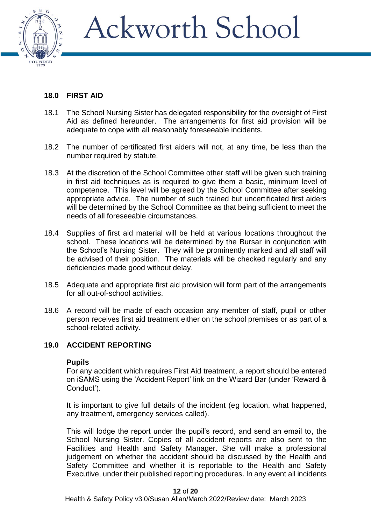

### **18.0 FIRST AID**

- 18.1 The School Nursing Sister has delegated responsibility for the oversight of First Aid as defined hereunder. The arrangements for first aid provision will be adequate to cope with all reasonably foreseeable incidents.
- 18.2 The number of certificated first aiders will not, at any time, be less than the number required by statute.
- 18.3 At the discretion of the School Committee other staff will be given such training in first aid techniques as is required to give them a basic, minimum level of competence. This level will be agreed by the School Committee after seeking appropriate advice. The number of such trained but uncertificated first aiders will be determined by the School Committee as that being sufficient to meet the needs of all foreseeable circumstances.
- 18.4 Supplies of first aid material will be held at various locations throughout the school. These locations will be determined by the Bursar in conjunction with the School's Nursing Sister. They will be prominently marked and all staff will be advised of their position. The materials will be checked regularly and any deficiencies made good without delay.
- 18.5 Adequate and appropriate first aid provision will form part of the arrangements for all out-of-school activities.
- 18.6 A record will be made of each occasion any member of staff, pupil or other person receives first aid treatment either on the school premises or as part of a school-related activity.

### **19.0 ACCIDENT REPORTING**

#### **Pupils**

For any accident which requires First Aid treatment, a report should be entered on iSAMS using the 'Accident Report' link on the Wizard Bar (under 'Reward & Conduct').

It is important to give full details of the incident (eg location, what happened, any treatment, emergency services called).

This will lodge the report under the pupil's record, and send an email to, the School Nursing Sister. Copies of all accident reports are also sent to the Facilities and Health and Safety Manager. She will make a professional judgement on whether the accident should be discussed by the Health and Safety Committee and whether it is reportable to the Health and Safety Executive, under their published reporting procedures. In any event all incidents

**12** of **20**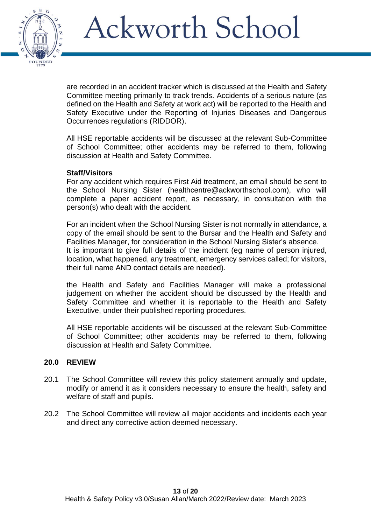

are recorded in an accident tracker which is discussed at the Health and Safety Committee meeting primarily to track trends. Accidents of a serious nature (as defined on the Health and Safety at work act) will be reported to the Health and Safety Executive under the Reporting of Injuries Diseases and Dangerous Occurrences regulations (RIDDOR).

All HSE reportable accidents will be discussed at the relevant Sub-Committee of School Committee; other accidents may be referred to them, following discussion at Health and Safety Committee.

#### **Staff/Visitors**

For any accident which requires First Aid treatment, an email should be sent to the School Nursing Sister (healthcentre@ackworthschool.com), who will complete a paper accident report, as necessary, in consultation with the person(s) who dealt with the accident.

For an incident when the School Nursing Sister is not normally in attendance, a copy of the email should be sent to the Bursar and the Health and Safety and Facilities Manager, for consideration in the School Nursing Sister's absence. It is important to give full details of the incident (eg name of person injured, location, what happened, any treatment, emergency services called; for visitors, their full name AND contact details are needed).

the Health and Safety and Facilities Manager will make a professional judgement on whether the accident should be discussed by the Health and Safety Committee and whether it is reportable to the Health and Safety Executive, under their published reporting procedures.

All HSE reportable accidents will be discussed at the relevant Sub-Committee of School Committee; other accidents may be referred to them, following discussion at Health and Safety Committee.

#### **20.0 REVIEW**

- 20.1 The School Committee will review this policy statement annually and update, modify or amend it as it considers necessary to ensure the health, safety and welfare of staff and pupils.
- 20.2 The School Committee will review all major accidents and incidents each year and direct any corrective action deemed necessary.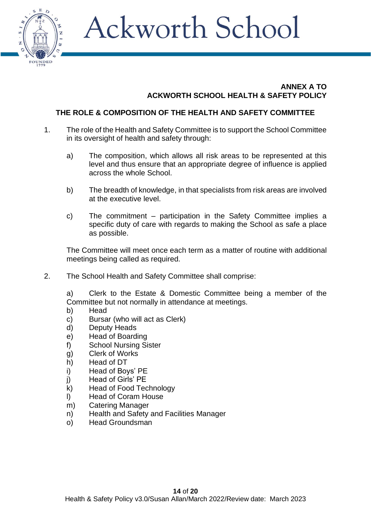

#### **ANNEX A TO ACKWORTH SCHOOL HEALTH & SAFETY POLICY**

## **THE ROLE & COMPOSITION OF THE HEALTH AND SAFETY COMMITTEE**

- 1. The role of the Health and Safety Committee is to support the School Committee in its oversight of health and safety through:
	- a) The composition, which allows all risk areas to be represented at this level and thus ensure that an appropriate degree of influence is applied across the whole School.
	- b) The breadth of knowledge, in that specialists from risk areas are involved at the executive level.
	- c) The commitment participation in the Safety Committee implies a specific duty of care with regards to making the School as safe a place as possible.

The Committee will meet once each term as a matter of routine with additional meetings being called as required.

2. The School Health and Safety Committee shall comprise:

a) Clerk to the Estate & Domestic Committee being a member of the Committee but not normally in attendance at meetings.

- b) Head
- c) Bursar (who will act as Clerk)
- d) Deputy Heads
- e) Head of Boarding
- f) School Nursing Sister
- g) Clerk of Works
- h) Head of DT
- i) Head of Boys' PE
- j) Head of Girls' PE
- k) Head of Food Technology
- l) Head of Coram House
- m) Catering Manager
- n) Health and Safety and Facilities Manager
- o) Head Groundsman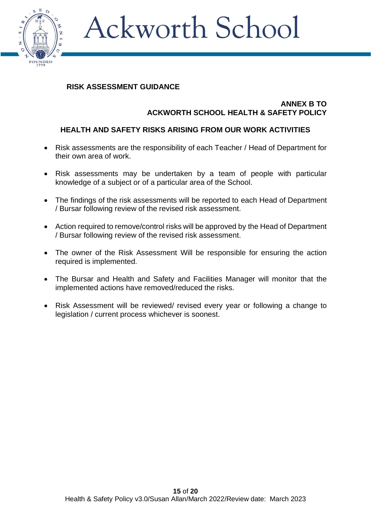

## **RISK ASSESSMENT GUIDANCE**

#### **ANNEX B TO ACKWORTH SCHOOL HEALTH & SAFETY POLICY**

## **HEALTH AND SAFETY RISKS ARISING FROM OUR WORK ACTIVITIES**

- Risk assessments are the responsibility of each Teacher / Head of Department for their own area of work.
- Risk assessments may be undertaken by a team of people with particular knowledge of a subject or of a particular area of the School.
- The findings of the risk assessments will be reported to each Head of Department / Bursar following review of the revised risk assessment.
- Action required to remove/control risks will be approved by the Head of Department / Bursar following review of the revised risk assessment.
- The owner of the Risk Assessment Will be responsible for ensuring the action required is implemented.
- The Bursar and Health and Safety and Facilities Manager will monitor that the implemented actions have removed/reduced the risks.
- Risk Assessment will be reviewed/ revised every year or following a change to legislation / current process whichever is soonest.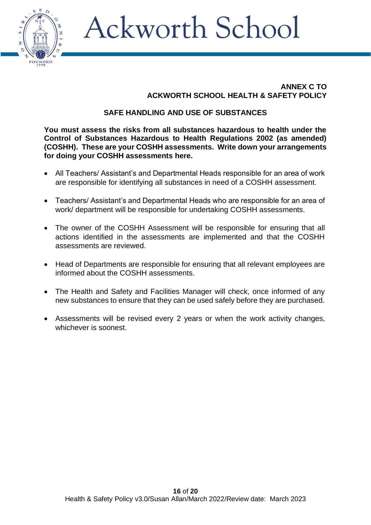

### **ANNEX C TO ACKWORTH SCHOOL HEALTH & SAFETY POLICY**

### **SAFE HANDLING AND USE OF SUBSTANCES**

**You must assess the risks from all substances hazardous to health under the Control of Substances Hazardous to Health Regulations 2002 (as amended) (COSHH). These are your COSHH assessments. Write down your arrangements for doing your COSHH assessments here.**

- All Teachers/ Assistant's and Departmental Heads responsible for an area of work are responsible for identifying all substances in need of a COSHH assessment.
- Teachers/ Assistant's and Departmental Heads who are responsible for an area of work/ department will be responsible for undertaking COSHH assessments.
- The owner of the COSHH Assessment will be responsible for ensuring that all actions identified in the assessments are implemented and that the COSHH assessments are reviewed.
- Head of Departments are responsible for ensuring that all relevant employees are informed about the COSHH assessments.
- The Health and Safety and Facilities Manager will check, once informed of any new substances to ensure that they can be used safely before they are purchased.
- Assessments will be revised every 2 years or when the work activity changes, whichever is soonest.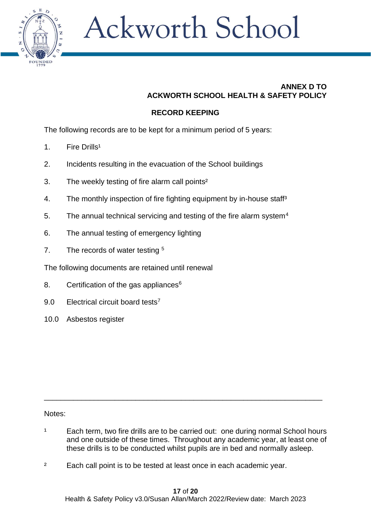

### **ANNEX D TO ACKWORTH SCHOOL HEALTH & SAFETY POLICY**

## **RECORD KEEPING**

The following records are to be kept for a minimum period of 5 years:

- 1. Fire Drills<sup>1</sup>
- 2. Incidents resulting in the evacuation of the School buildings
- 3. The weekly testing of fire alarm call points²
- 4. The monthly inspection of fire fighting equipment by in-house staff<sup>3</sup>
- 5. The annual technical servicing and testing of the fire alarm system<sup>4</sup>
- 6. The annual testing of emergency lighting
- 7. The records of water testing <sup>5</sup>

The following documents are retained until renewal

- 8. Certification of the gas appliances $6$
- 9.0 Electrical circuit board tests<sup>7</sup>
- 10.0 Asbestos register

#### Notes:

<sup>1</sup> Each term, two fire drills are to be carried out: one during normal School hours and one outside of these times. Throughout any academic year, at least one of these drills is to be conducted whilst pupils are in bed and normally asleep.

\_\_\_\_\_\_\_\_\_\_\_\_\_\_\_\_\_\_\_\_\_\_\_\_\_\_\_\_\_\_\_\_\_\_\_\_\_\_\_\_\_\_\_\_\_\_\_\_\_\_\_\_\_\_\_\_\_\_\_\_\_\_\_\_\_\_\_

<sup>2</sup> Each call point is to be tested at least once in each academic year.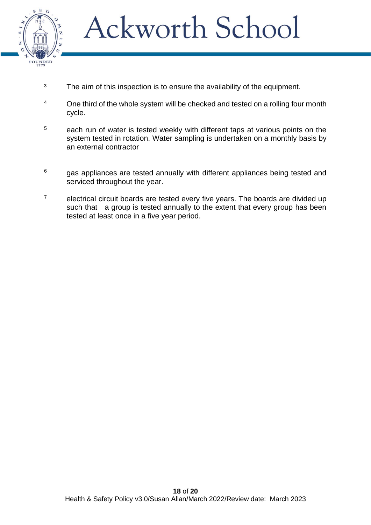

- <sup>3</sup> The aim of this inspection is to ensure the availability of the equipment.
- <sup>4</sup> One third of the whole system will be checked and tested on a rolling four month cycle.
- <sup>5</sup> each run of water is tested weekly with different taps at various points on the system tested in rotation. Water sampling is undertaken on a monthly basis by an external contractor
- $6$  gas appliances are tested annually with different appliances being tested and serviced throughout the year.
- $7$  electrical circuit boards are tested every five years. The boards are divided up such that a group is tested annually to the extent that every group has been tested at least once in a five year period.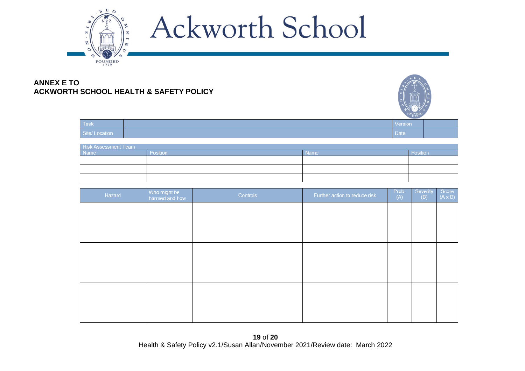

#### **ANNEX E TO ACKWORTH SCHOOL HEALTH & SAFETY POLICY**



| Task <sup>1</sup> | <b>Version</b> |  |
|-------------------|----------------|--|
| Site/ Location    | Date           |  |

| ∣□□<br>k Assessment Team ,<br>- 1 |  |             |          |  |
|-----------------------------------|--|-------------|----------|--|
| <b>Name</b>                       |  | <b>Name</b> | Position |  |
|                                   |  |             |          |  |
|                                   |  |             |          |  |
|                                   |  |             |          |  |

| Hazard | Who might be<br>harmed and how | Controls | Further action to reduce risk | Prob.<br>(A) | Severity<br>(B) | Score<br>$(A \times B)$ |
|--------|--------------------------------|----------|-------------------------------|--------------|-----------------|-------------------------|
|        |                                |          |                               |              |                 |                         |
|        |                                |          |                               |              |                 |                         |
|        |                                |          |                               |              |                 |                         |
|        |                                |          |                               |              |                 |                         |
|        |                                |          |                               |              |                 |                         |
|        |                                |          |                               |              |                 |                         |
|        |                                |          |                               |              |                 |                         |
|        |                                |          |                               |              |                 |                         |
|        |                                |          |                               |              |                 |                         |